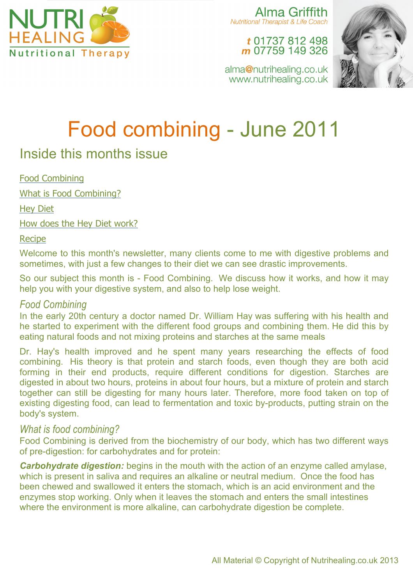

Alma Griffith **Nutritional Therapist & Life Coach** 

t 01737 812 498 m 07759 149 326



alma@nutrihealing.co.uk www.nutrihealing.co.uk

# Food combining - June 2011

## Inside this months issue

Food Combining

What is Food Combining?

Hey Diet

How does the Hey Diet work?

Recipe

Welcome to this month's newsletter, many clients come to me with digestive problems and sometimes, with just a few changes to their diet we can see drastic improvements.

So our subject this month is - Food Combining. We discuss how it works, and how it may help you with your digestive system, and also to help lose weight.

#### *Food Combining*

In the early 20th century a doctor named Dr. William Hay was suffering with his health and he started to experiment with the different food groups and combining them. He did this by eating natural foods and not mixing proteins and starches at the same meals

Dr. Hay's health improved and he spent many years researching the effects of food combining. His theory is that protein and starch foods, even though they are both acid forming in their end products, require different conditions for digestion. Starches are digested in about two hours, proteins in about four hours, but a mixture of protein and starch together can still be digesting for many hours later. Therefore, more food taken on top of existing digesting food, can lead to fermentation and toxic by-products, putting strain on the body's system.

### *What is food combining?*

Food Combining is derived from the biochemistry of our body, which has two different ways of pre-digestion: for carbohydrates and for protein:

*Carbohydrate digestion:* begins in the mouth with the action of an enzyme called amylase, which is present in saliva and requires an alkaline or neutral medium. Once the food has been chewed and swallowed it enters the stomach, which is an acid environment and the enzymes stop working. Only when it leaves the stomach and enters the small intestines where the environment is more alkaline, can carbohydrate digestion be complete.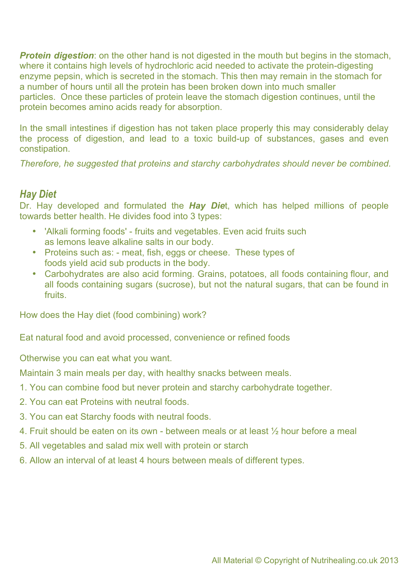**Protein digestion**: on the other hand is not digested in the mouth but begins in the stomach, where it contains high levels of hydrochloric acid needed to activate the protein-digesting enzyme pepsin, which is secreted in the stomach. This then may remain in the stomach for a number of hours until all the protein has been broken down into much smaller particles. Once these particles of protein leave the stomach digestion continues, until the protein becomes amino acids ready for absorption.

In the small intestines if digestion has not taken place properly this may considerably delay the process of digestion, and lead to a toxic build-up of substances, gases and even constipation.

*Therefore, he suggested that proteins and starchy carbohydrates should never be combined.*

#### *Hay Diet*

Dr. Hay developed and formulated the *Hay Die*t, which has helped millions of people towards better health. He divides food into 3 types:

- 'Alkali forming foods' fruits and vegetables. Even acid fruits such as lemons leave alkaline salts in our body.
- Proteins such as: meat, fish, eggs or cheese. These types of foods yield acid sub products in the body.
- Carbohydrates are also acid forming. Grains, potatoes, all foods containing flour, and all foods containing sugars (sucrose), but not the natural sugars, that can be found in fruits.

How does the Hay diet (food combining) work?

Eat natural food and avoid processed, convenience or refined foods

Otherwise you can eat what you want.

Maintain 3 main meals per day, with healthy snacks between meals.

- 1. You can combine food but never protein and starchy carbohydrate together.
- 2. You can eat Proteins with neutral foods.
- 3. You can eat Starchy foods with neutral foods.
- 4. Fruit should be eaten on its own between meals or at least ½ hour before a meal
- 5. All vegetables and salad mix well with protein or starch
- 6. Allow an interval of at least 4 hours between meals of different types.